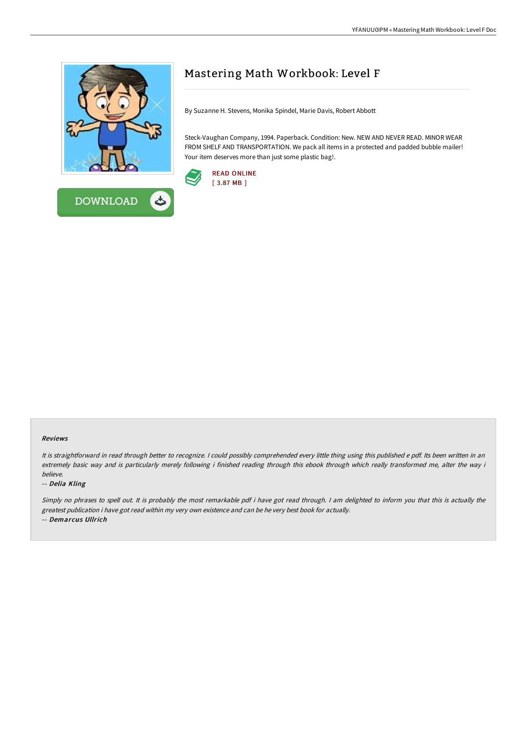



# Mastering Math Workbook: Level F

By Suzanne H. Stevens, Monika Spindel, Marie Davis, Robert Abbott

Steck-Vaughan Company, 1994. Paperback. Condition: New. NEW AND NEVER READ. MINOR WEAR FROM SHELF AND TRANSPORTATION. We pack all items in a protected and padded bubble mailer! Your item deserves more than just some plastic bag!.



#### Reviews

It is straightforward in read through better to recognize. I could possibly comprehended every little thing using this published e pdf. Its been written in an extremely basic way and is particularly merely following i finished reading through this ebook through which really transformed me, alter the way i believe.

### -- Delia Kling

Simply no phrases to spell out. It is probably the most remarkable pdf i have got read through. <sup>I</sup> am delighted to inform you that this is actually the greatest publication i have got read within my very own existence and can be he very best book for actually. -- Demarcus Ullrich